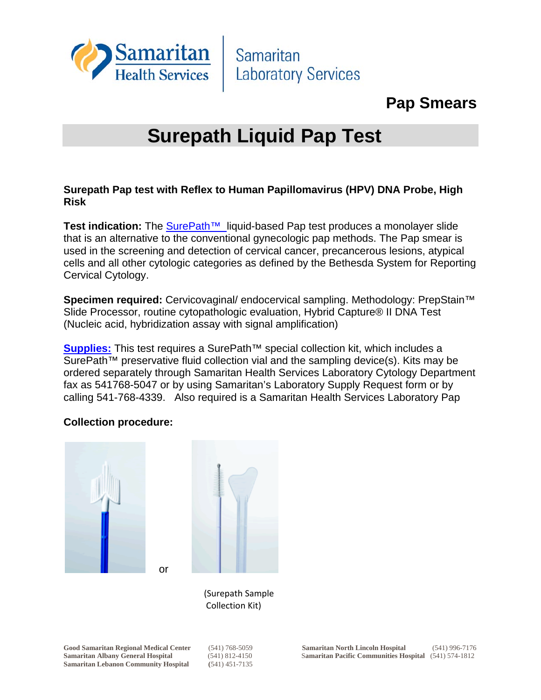

Samaritan **Laboratory Services** 

# **Pap Smears**

# **Surepath Liquid Pap Test**

## **Surepath Pap test with Reflex to Human Papillomavirus (HPV) DNA Probe, High Risk**

Test indication: The SurePath<sup>™</sup> liquid-based Pap test produces a monolayer slide that is an alternative to the conventional gynecologic pap methods. The Pap smear is used in the screening and detection of cervical cancer, precancerous lesions, atypical cells and all other cytologic categories as defined by the Bethesda System for Reporting Cervical Cytology.

**Specimen required:** Cervicovaginal/ endocervical sampling. Methodology: PrepStain™ Slide Processor, routine cytopathologic evaluation, Hybrid Capture® II DNA Test (Nucleic acid, hybridization assay with signal amplification)

**Supplies:** This test requires a SurePath™ special collection kit, which includes a SurePath™ preservative fluid collection vial and the sampling device(s). Kits may be ordered separately through Samaritan Health Services Laboratory Cytology Department fax as 541768-5047 or by using Samaritan's Laboratory Supply Request form or by calling 541-768-4339. Also required is a Samaritan Health Services Laboratory Pap

# **Collection procedure:**





 (Surepath Sample Collection Kit)

**Samaritan Lebanon Community Hospital (**541) 451-7135

or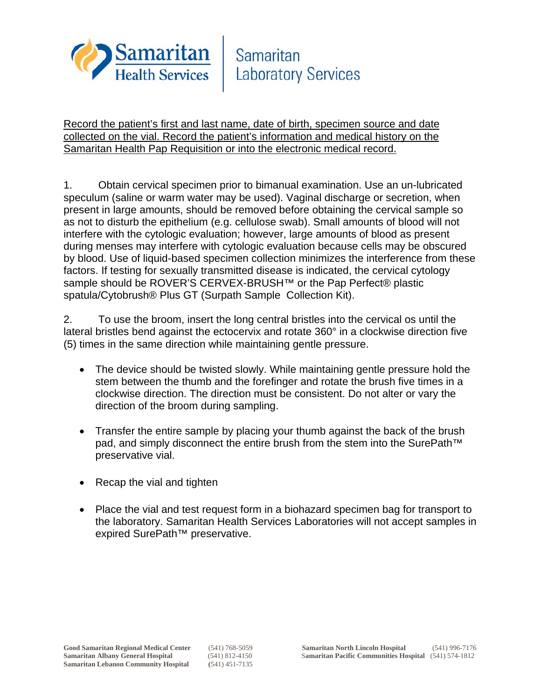

Record the patient's first and last name, date of birth, specimen source and date collected on the vial. Record the patient's information and medical history on the Samaritan Health Pap Requisition or into the electronic medical record.

1. Obtain cervical specimen prior to bimanual examination. Use an un-lubricated speculum (saline or warm water may be used). Vaginal discharge or secretion, when present in large amounts, should be removed before obtaining the cervical sample so as not to disturb the epithelium (e.g. cellulose swab). Small amounts of blood will not interfere with the cytologic evaluation; however, large amounts of blood as present during menses may interfere with cytologic evaluation because cells may be obscured by blood. Use of liquid-based specimen collection minimizes the interference from these factors. If testing for sexually transmitted disease is indicated, the cervical cytology sample should be ROVER'S CERVEX-BRUSH™ or the Pap Perfect® plastic spatula/Cytobrush® Plus GT (Surpath Sample Collection Kit).

2. To use the broom, insert the long central bristles into the cervical os until the lateral bristles bend against the ectocervix and rotate 360° in a clockwise direction five (5) times in the same direction while maintaining gentle pressure.

- The device should be twisted slowly. While maintaining gentle pressure hold the stem between the thumb and the forefinger and rotate the brush five times in a clockwise direction. The direction must be consistent. Do not alter or vary the direction of the broom during sampling.
- Transfer the entire sample by placing your thumb against the back of the brush pad, and simply disconnect the entire brush from the stem into the SurePath<sup>™</sup> preservative vial.
- Recap the vial and tighten
- Place the vial and test request form in a biohazard specimen bag for transport to the laboratory. Samaritan Health Services Laboratories will not accept samples in expired SurePath™ preservative.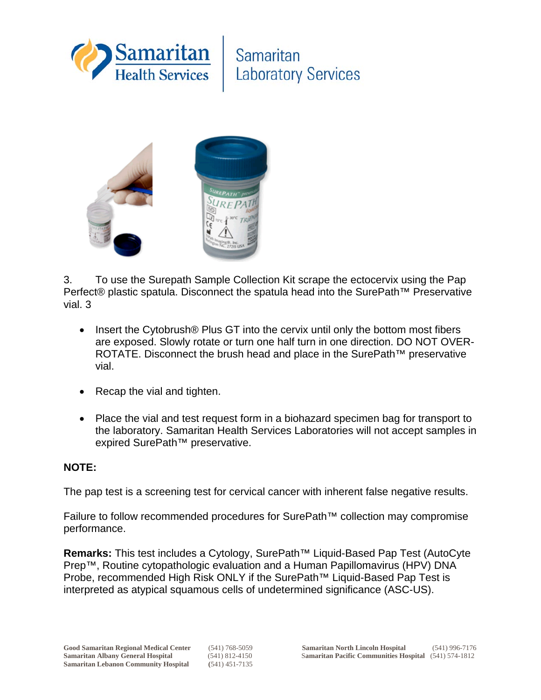

Samaritan **Laboratory Services** 



3. To use the Surepath Sample Collection Kit scrape the ectocervix using the Pap Perfect® plastic spatula. Disconnect the spatula head into the SurePath<sup>™</sup> Preservative vial. 3

- Insert the Cytobrush® Plus GT into the cervix until only the bottom most fibers are exposed. Slowly rotate or turn one half turn in one direction. DO NOT OVER-ROTATE. Disconnect the brush head and place in the SurePath™ preservative vial.
- Recap the vial and tighten.
- Place the vial and test request form in a biohazard specimen bag for transport to the laboratory. Samaritan Health Services Laboratories will not accept samples in expired SurePath™ preservative.

## **NOTE:**

The pap test is a screening test for cervical cancer with inherent false negative results.

Failure to follow recommended procedures for SurePath™ collection may compromise performance.

**Remarks:** This test includes a Cytology, SurePath™ Liquid-Based Pap Test (AutoCyte Prep™, Routine cytopathologic evaluation and a Human Papillomavirus (HPV) DNA Probe, recommended High Risk ONLY if the SurePath™ Liquid-Based Pap Test is interpreted as atypical squamous cells of undetermined significance (ASC-US).